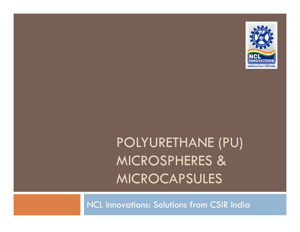

# POLYURETHANE (PU) MICROSPHERES & MICROCAPSULES

NCL Innovations: Solutions from CSIR India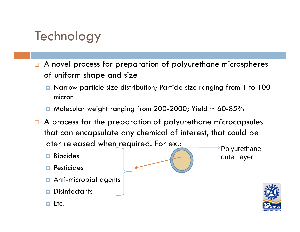### **Technology**

- $\Box$  A novel process for preparation of polyurethane microspheres of uniform shape and size
	- Narrow particle size distribution; Particle size ranging from 1 to 100 micron
	- $\blacksquare$  Molecular weight ranging from 200-2000; Yield  $\sim$  60-85%
- $\Box$  A process for the preparation of polyurethane microcapsules that can encapsulate any chemical of interest, that could be later released when required. For ex.:  $\rightarrow$ Polyurethane
	- **D** Biocides
	- **<u>Electricides</u>**
	- **n** Anti-microbial agents
	- $\blacksquare$  Disinfectants п
	- $\Box$  Etc.



outer layer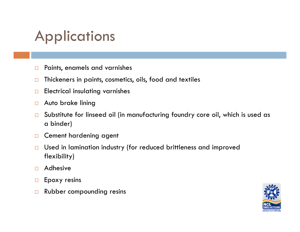## Applications

- $\Box$ Paints, enamels and varnishes
- $\Box$ Thickeners in paints, cosmetics, oils, food and textiles
- $\Box$ Electrical insulating varnishes
- $\Box$ Auto brake lining
- $\Box$  Substitute for linseed oil (in manufacturing foundry core oil, which is used as a binder)
- $\Box$ Cement hardening agent
- $\Box$  Used in lamination industry (for reduced brittleness and improved flexibility)
- $\Box$ Adhesive
- $\Box$ Epoxy resins
- $\Box$ Rubber compounding resins

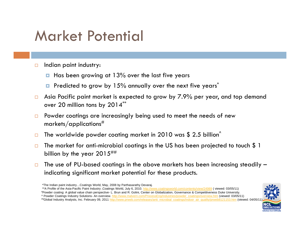## Market Potential

- $\Box$  Indian paint industry:
	- $\blacksquare$  Has been growing at 13% over the last five years
	- **P** Predicted to grow by 15% annually over the next five years<sup>\*</sup>
- $\Box$  Asia Pacific paint market is expected to grow by 7.9% per year, and top demand over 20 million tons by 2014\*\*
- $\Box$  Powder coatings are increasingly being used to meet the needs of new markets/applications $^{\#}$
- $\Box$  $\Box$  The worldwide powder coating market in 2010 was \$ 2.5 billion $^{\wedge}$
- $\Box$  The market for anti-microbial coatings in the US has been projected to touch \$ 1 billion by the year  $2015^{+\#}$
- $\Box$  The use of PU-based coatings in the above markets has been increasing steadily – indicating significant market potential for these products.

\*\*A Profile of the Asia-Pacific Paint Industry ,Coatings World, July 6, 2010. <u>http://www.coatingsworld.com/contents/view/24989</u> ( viewed: 03/05/11) #Powder coating: A global value chain perspective- L. Brun and R. Golini, Center on Globalization, Governance & Competitiveness Duke University. ^ Powder Coatings Industry Solutions- An overview. http://www.malvern.com/ProcessEng/industries/powder\_coatings/overview.htm (viewed: 03/05/11) #Global Industry Analysts, Inc. February 09, 2011 http://www.prweb.com/releases/anti\_microbial\_coatings/indoor\_air\_quality/prweb8121153.htm (viewed: 04/05/11



<sup>\*</sup>The Indian paint industry…Coatings World, May, 2008 by Parthasarathy Devaraj.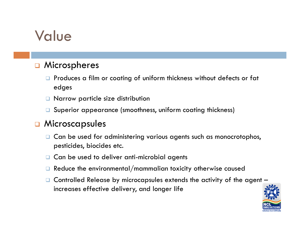## Value

#### $\Box$ Microspheres

- $\Box$  Produces a film or coating of uniform thickness without defects or fat edges
- Narrow particle size distribution
- Superior appearance (smoothness, uniform coating thickness)

#### $\Box$ Microscapsules

- □ Can be used for administering various agents such as monocrotophos, pesticides, biocides etc.
- $\Box$  Can be used to deliver anti-microbial agents
- $\Box$  Reduce the environmental/mammalian toxicity otherwise caused
- $\Box$  Controlled Release by microcapsules extends the activity of the agent  $\overline{\phantom{a}}$ increases effective delivery, and longer life

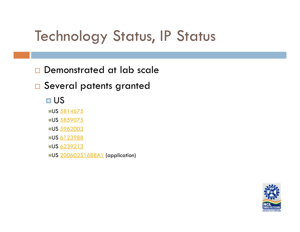## **Technology Status, IP Status**

 $\Box$ Demonstrated at lab scale

□ Several patents granted

**O**US

∎US <u>5814675</u>

∎US <u>5859075</u>

US 5962003

US 6123988

∎US <u>6239213</u>

US 20060251688A1 (application)

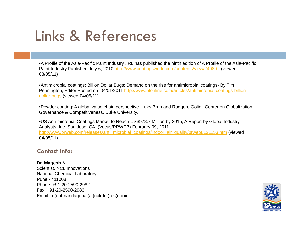## Links & References

•A Profile of the Asia-Pacific Paint Industry ,IRL has published the ninth edition of A Profile of the Asia-Pacific Paint Industry.Published July 6, 2010 http://www.coatingsworld.com/contents/view/24989 - (viewed 03/05/11)

•Antimicrobial coatings: Billion Dollar Bugs: Demand on the rise for antimicrobial coatings- By Tim Pennington, Editor Posted on 04/01/2011 http://www.ptonline.com/articles/antimicrobial-coatings-billiondollar-bugs (viewed-04/05/11)

•Powder coating: A global value chain perspective- Luks Brun and Ruggero Golini, Center on Globalization, Governance & Competitiveness, Duke University.

•US Anti-microbial Coatings Market to Reach US\$978.7 Million by 2015, A Report by Global Industry Analysts, Inc. San Jose, CA. (Vocus/PRWEB) February 09, 2011. http://www.prweb.com/releases/anti\_microbial\_coatings/indoor\_air\_quality/prweb8121153.htm (viewed 04/05/11)

### **Contact Info:**

#### **Dr. Magesh N.**

Scientist, NCL Innovations National Chemical Laboratory Pune - 411008Phone: +91-20-2590-2982Fax: +91-20-2590-2983 Email: m(dot)nandagopal(at)ncl(dot)res(dot)in